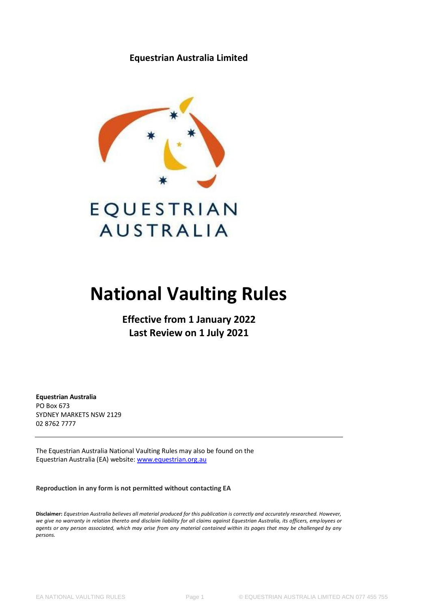**Equestrian Australia Limited**



# EQUESTRIAN **AUSTRALIA**

# **National Vaulting Rules**

**Effective from 1 January 2022 Last Review on 1 July 2021**

**Equestrian Australia** PO Box 673 SYDNEY MARKETS NSW 2129 02 8762 7777

The Equestrian Australia National Vaulting Rules may also be found on the Equestrian Australia (EA) website[: www.equestrian.org.au](https://www.equestrian.org.au/vaulting-rules)

**Reproduction in any form is not permitted without contacting EA**

**Disclaimer:** *Equestrian Australia believes all material produced for this publication is correctly and accurately researched. However, we give no warranty in relation thereto and disclaim liability for all claims against Equestrian Australia, its officers, employees or agents or any person associated, which may arise from any material contained within its pages that may be challenged by any persons.*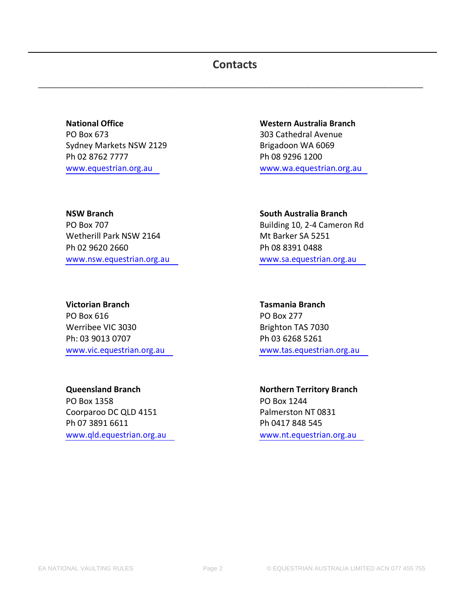# **Contacts**

 $\_$  ,  $\_$  ,  $\_$  ,  $\_$  ,  $\_$  ,  $\_$  ,  $\_$  ,  $\_$  ,  $\_$  ,  $\_$  ,  $\_$  ,  $\_$  ,  $\_$  ,  $\_$  ,  $\_$  ,  $\_$  ,  $\_$  ,  $\_$  ,  $\_$  ,  $\_$  ,  $\_$  ,  $\_$  ,  $\_$  ,  $\_$  ,  $\_$  ,  $\_$  ,  $\_$  ,  $\_$  ,  $\_$  ,  $\_$  ,  $\_$  ,  $\_$  ,  $\_$  ,  $\_$  ,  $\_$  ,  $\_$  ,  $\_$  ,

**National Office Western Australia Branch** PO Box 673 303 Cathedral Avenue Sydney Markets NSW 2129 Brigadoon WA 6069 Ph 02 8762 7777 Ph 08 9296 1200

**NSW Branch South Australia Branch** PO Box 707 Building 10, 2-4 Cameron Rd Wetherill Park NSW 2164 Mt Barker SA 5251 Ph 02 9620 2660 Ph 08 8391 0488 [www.nsw.equestrian.org.au](http://www.nsw.equestrian.org.au/) [www.sa.equestrian.org.au](http://www.sa.equestrian.org.au/)

**Victorian Branch Tasmania Branch** PO Box 616 PO Box 277 Werribee VIC 3030 Brighton TAS 7030 Ph: 03 9013 0707 Ph: 03 6268 5261

PO Box 1358 PO Box 1244 Coorparoo DC QLD 4151 Palmerston NT 0831 Ph 07 3891 6611 Ph 0417 848 545 [www.qld.equestrian.org.au](http://www.qld.equestrian.org.au/) [www.nt.equestrian.org.au](http://www.nt.equestrian.org.au/)

[www.equestrian.org.au](http://www.equestrian.org.au/) [www.wa.equestrian.org.au](http://www.wa.equestrian.org.au/)

[www.vic.equestrian.org.au](http://www.vic.equestrian.org.au/) [www.tas.equestrian.org.au](http://www.tas.equestrian.org.au/)

**Queensland Branch Northern Territory Branch**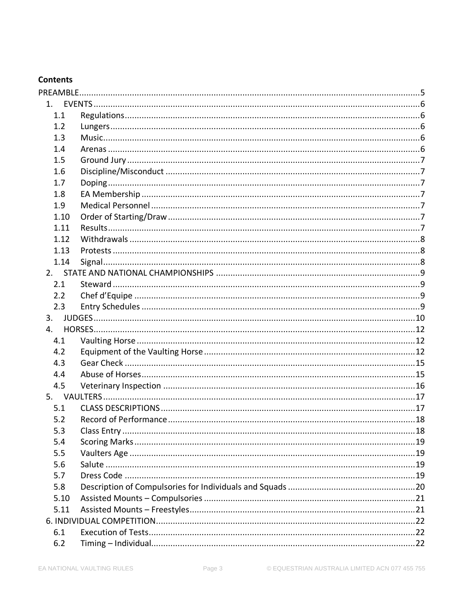# **Contents**

| 1.   |  |
|------|--|
| 1.1  |  |
| 1.2  |  |
| 1.3  |  |
| 1.4  |  |
| 1.5  |  |
| 1.6  |  |
| 1.7  |  |
| 1.8  |  |
| 1.9  |  |
| 1.10 |  |
| 1.11 |  |
| 1.12 |  |
| 1.13 |  |
| 1.14 |  |
|      |  |
| 2.1  |  |
| 2.2  |  |
| 2.3  |  |
| 3.   |  |
| 4.   |  |
| 4.1  |  |
| 4.2  |  |
| 4.3  |  |
| 4.4  |  |
| 4.5  |  |
|      |  |
| 5.1  |  |
| 5.2  |  |
| 5.3  |  |
| 5.4  |  |
| 5.5  |  |
| 5.6  |  |
| 5.7  |  |
| 5.8  |  |
| 5.10 |  |
| 5.11 |  |
|      |  |
| 6.1  |  |
| 6.2  |  |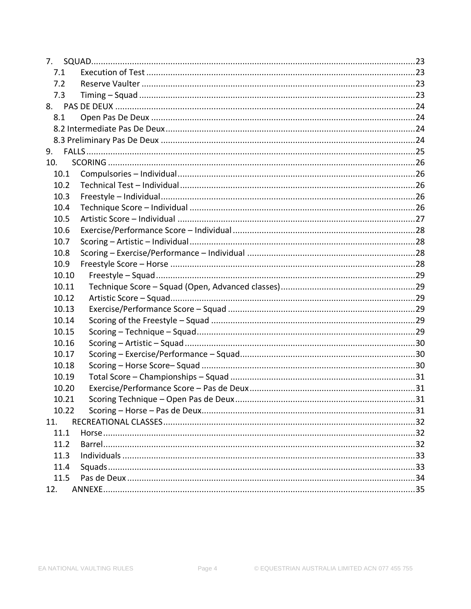| 7.1   |     |
|-------|-----|
| 7.2   |     |
| 7.3   |     |
|       |     |
| 8.1   |     |
|       |     |
|       |     |
| 9.    |     |
| 10.   |     |
| 10.1  |     |
| 10.2  |     |
| 10.3  |     |
| 10.4  |     |
| 10.5  |     |
| 10.6  |     |
| 10.7  |     |
| 10.8  |     |
| 10.9  |     |
| 10.10 |     |
| 10.11 |     |
| 10.12 |     |
| 10.13 |     |
| 10.14 |     |
| 10.15 |     |
| 10.16 |     |
| 10.17 |     |
| 10.18 |     |
| 10.19 |     |
| 10.20 |     |
| 10.21 | -31 |
| 10.22 |     |
| 11.   |     |
| 11.1  |     |
| 11.2  |     |
| 11.3  |     |
| 11.4  |     |
| 11.5  |     |
| 12.   |     |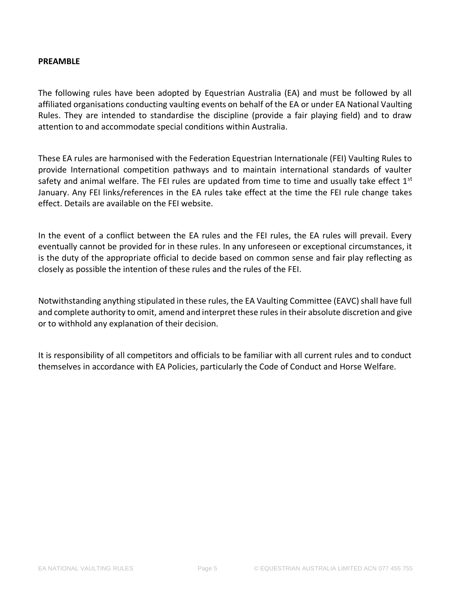#### <span id="page-4-0"></span>**PREAMBLE**

The following rules have been adopted by Equestrian Australia (EA) and must be followed by all affiliated organisations conducting vaulting events on behalf of the EA or under EA National Vaulting Rules. They are intended to standardise the discipline (provide a fair playing field) and to draw attention to and accommodate special conditions within Australia.

These EA rules are harmonised with the Federation Equestrian Internationale (FEI) Vaulting Rules to provide International competition pathways and to maintain international standards of vaulter safety and animal welfare. The FEI rules are updated from time to time and usually take effect  $1<sup>st</sup>$ January. Any FEI links/references in the EA rules take effect at the time the FEI rule change takes effect. Details are available on the FEI website.

In the event of a conflict between the EA rules and the FEI rules, the EA rules will prevail. Every eventually cannot be provided for in these rules. In any unforeseen or exceptional circumstances, it is the duty of the appropriate official to decide based on common sense and fair play reflecting as closely as possible the intention of these rules and the rules of the FEI.

Notwithstanding anything stipulated in these rules, the EA Vaulting Committee (EAVC) shall have full and complete authority to omit, amend and interpret these rules in their absolute discretion and give or to withhold any explanation of their decision.

It is responsibility of all competitors and officials to be familiar with all current rules and to conduct themselves in accordance with EA Policies, particularly the Code of Conduct and Horse Welfare.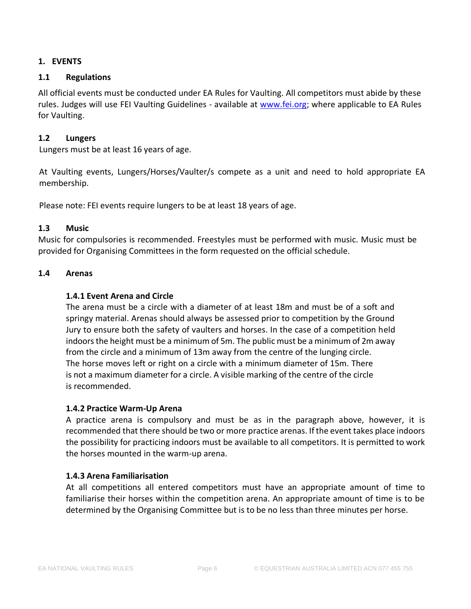# <span id="page-5-0"></span>**1. EVENTS**

# <span id="page-5-1"></span>**1.1 Regulations**

All official events must be conducted under EA Rules for Vaulting. All competitors must abide by these rules. Judges will use FEI Vaulting Guidelines - available at [www.fei.org;](https://inside.fei.org/sites/default/files/2019%20Vaulting%20Guidelines%20%20clean_up%20version_14.03.2019_updated%2029.03.2019.pdf) where applicable to EA Rules for Vaulting.

#### <span id="page-5-2"></span>**1.2 Lungers**

Lungers must be at least 16 years of age.

At Vaulting events, Lungers/Horses/Vaulter/s compete as a unit and need to hold appropriate EA membership.

Please note: FEI events require lungers to be at least 18 years of age.

#### <span id="page-5-3"></span>**1.3 Music**

Music for compulsories is recommended. Freestyles must be performed with music. Music must be provided for Organising Committees in the form requested on the official schedule.

#### <span id="page-5-4"></span>**1.4 Arenas**

#### **1.4.1 Event Arena and Circle**

The arena must be a circle with a diameter of at least 18m and must be of a soft and springy material. Arenas should always be assessed prior to competition by the Ground Jury to ensure both the safety of vaulters and horses. In the case of a competition held indoors the height must be a minimum of 5m. The public must be a minimum of 2m away from the circle and a minimum of 13m away from the centre of the lunging circle. The horse moves left or right on a circle with a minimum diameter of 15m. There is not a maximum diameter for a circle. A visible marking of the centre of the circle is recommended.

#### **1.4.2 Practice Warm-Up Arena**

A practice arena is compulsory and must be as in the paragraph above, however, it is recommended that there should be two or more practice arenas. If the event takes place indoors the possibility for practicing indoors must be available to all competitors. It is permitted to work the horses mounted in the warm-up arena.

#### **1.4.3 Arena Familiarisation**

At all competitions all entered competitors must have an appropriate amount of time to familiarise their horses within the competition arena. An appropriate amount of time is to be determined by the Organising Committee but is to be no less than three minutes per horse.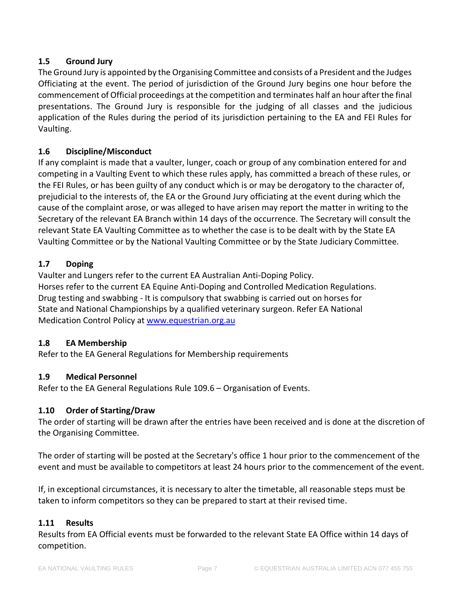# <span id="page-6-0"></span>**1.5 Ground Jury**

The Ground Jury is appointed by the Organising Committee and consists of a President and the Judges Officiating at the event. The period of jurisdiction of the Ground Jury begins one hour before the commencement of Official proceedings at the competition and terminates half an hour after the final presentations. The Ground Jury is responsible for the judging of all classes and the judicious application of the Rules during the period of its jurisdiction pertaining to the EA and FEI Rules for Vaulting.

# <span id="page-6-1"></span>**1.6 Discipline/Misconduct**

If any complaint is made that a vaulter, lunger, coach or group of any combination entered for and competing in a Vaulting Event to which these rules apply, has committed a breach of these rules, or the FEI Rules, or has been guilty of any conduct which is or may be derogatory to the character of, prejudicial to the interests of, the EA or the Ground Jury officiating at the event during which the cause of the complaint arose, or was alleged to have arisen may report the matter in writing to the Secretary of the relevant EA Branch within 14 days of the occurrence. The Secretary will consult the relevant State EA Vaulting Committee as to whether the case is to be dealt with by the State EA Vaulting Committee or by the National Vaulting Committee or by the State Judiciary Committee.

# <span id="page-6-2"></span>**1.7 Doping**

Vaulter and Lungers refer to the current EA Australian Anti-Doping Policy. Horses refer to the current EA Equine Anti-Doping and Controlled Medication Regulations. Drug testing and swabbing - It is compulsory that swabbing is carried out on horses for State and National Championships by a qualified veterinary surgeon. Refer EA National Medication Control Policy a[t www.equestrian.org.au](https://www.equestrian.org.au/medication-control)

# <span id="page-6-3"></span>**1.8 EA Membership**

Refer to the EA General Regulations for Membership requirements

# <span id="page-6-4"></span>**1.9 Medical Personnel**

Refer to the EA General Regulations Rule 109.6 – Organisation of Events.

# <span id="page-6-5"></span>**1.10 Order of Starting/Draw**

The order of starting will be drawn after the entries have been received and is done at the discretion of the Organising Committee.

The order of starting will be posted at the Secretary's office 1 hour prior to the commencement of the event and must be available to competitors at least 24 hours prior to the commencement of the event.

If, in exceptional circumstances, it is necessary to alter the timetable, all reasonable steps must be taken to inform competitors so they can be prepared to start at their revised time.

# <span id="page-6-6"></span>**1.11 Results**

Results from EA Official events must be forwarded to the relevant State EA Office within 14 days of competition.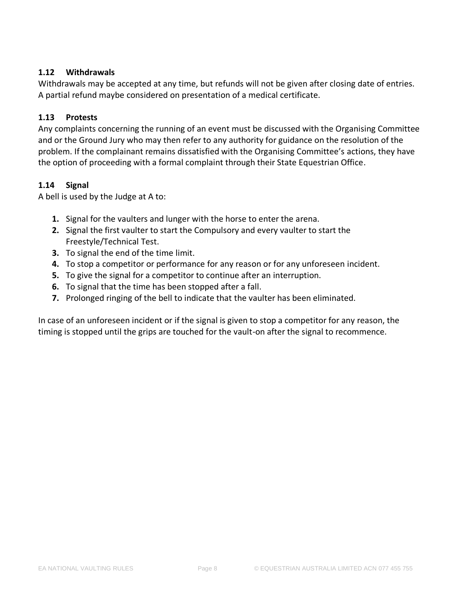# <span id="page-7-0"></span>**1.12 Withdrawals**

Withdrawals may be accepted at any time, but refunds will not be given after closing date of entries. A partial refund maybe considered on presentation of a medical certificate.

# <span id="page-7-1"></span>**1.13 Protests**

Any complaints concerning the running of an event must be discussed with the Organising Committee and or the Ground Jury who may then refer to any authority for guidance on the resolution of the problem. If the complainant remains dissatisfied with the Organising Committee's actions, they have the option of proceeding with a formal complaint through their State Equestrian Office.

# <span id="page-7-2"></span>**1.14 Signal**

A bell is used by the Judge at A to:

- **1.** Signal for the vaulters and lunger with the horse to enter the arena.
- **2.** Signal the first vaulter to start the Compulsory and every vaulter to start the Freestyle/Technical Test.
- **3.** To signal the end of the time limit.
- **4.** To stop a competitor or performance for any reason or for any unforeseen incident.
- **5.** To give the signal for a competitor to continue after an interruption.
- **6.** To signal that the time has been stopped after a fall.
- **7.** Prolonged ringing of the bell to indicate that the vaulter has been eliminated.

In case of an unforeseen incident or if the signal is given to stop a competitor for any reason, the timing is stopped until the grips are touched for the vault-on after the signal to recommence.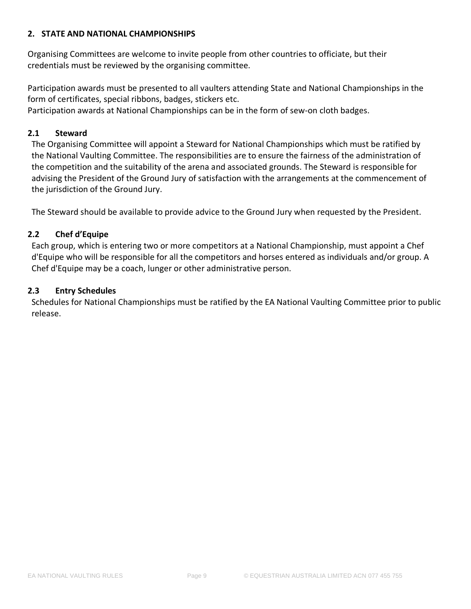# <span id="page-8-0"></span>**2. STATE AND NATIONAL CHAMPIONSHIPS**

Organising Committees are welcome to invite people from other countries to officiate, but their credentials must be reviewed by the organising committee.

Participation awards must be presented to all vaulters attending State and National Championships in the form of certificates, special ribbons, badges, stickers etc.

Participation awards at National Championships can be in the form of sew-on cloth badges.

# <span id="page-8-1"></span>**2.1 Steward**

The Organising Committee will appoint a Steward for National Championships which must be ratified by the National Vaulting Committee. The responsibilities are to ensure the fairness of the administration of the competition and the suitability of the arena and associated grounds. The Steward is responsible for advising the President of the Ground Jury of satisfaction with the arrangements at the commencement of the jurisdiction of the Ground Jury.

The Steward should be available to provide advice to the Ground Jury when requested by the President.

# <span id="page-8-2"></span>**2.2 Chef d'Equipe**

Each group, which is entering two or more competitors at a National Championship, must appoint a Chef d'Equipe who will be responsible for all the competitors and horses entered as individuals and/or group. A Chef d'Equipe may be a coach, lunger or other administrative person.

# <span id="page-8-3"></span>**2.3 Entry Schedules**

Schedules for National Championships must be ratified by the EA National Vaulting Committee prior to public release.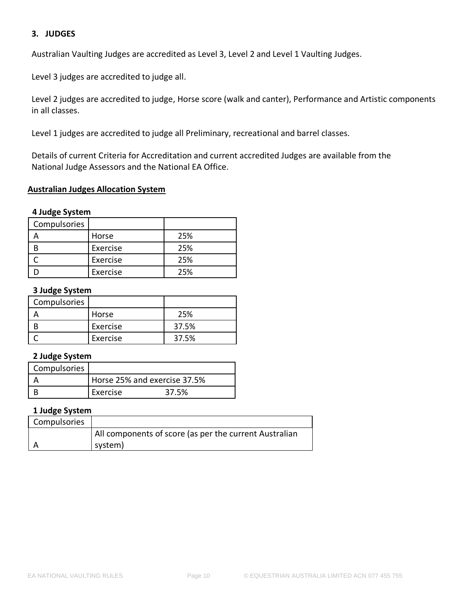# <span id="page-9-0"></span>**3. JUDGES**

Australian Vaulting Judges are accredited as Level 3, Level 2 and Level 1 Vaulting Judges.

Level 3 judges are accredited to judge all.

Level 2 judges are accredited to judge, Horse score (walk and canter), Performance and Artistic components in all classes.

Level 1 judges are accredited to judge all Preliminary, recreational and barrel classes.

Details of current Criteria for Accreditation and current accredited Judges are available from the National Judge Assessors and the National EA Office.

#### **Australian Judges Allocation System**

# **4 Judge System**

| Compulsories |          |     |
|--------------|----------|-----|
|              | Horse    | 25% |
|              | Exercise | 25% |
|              | Exercise | 25% |
|              | Exercise | 25% |

#### **3 Judge System**

| Compulsories |          |       |
|--------------|----------|-------|
|              | Horse    | 25%   |
|              | Exercise | 37.5% |
|              | Exercise | 37.5% |

#### **2 Judge System**

| Compulsories |                              |       |
|--------------|------------------------------|-------|
|              | Horse 25% and exercise 37.5% |       |
|              | Exercise                     | 37.5% |

# **1 Judge System**

| Compulsories |                                                        |
|--------------|--------------------------------------------------------|
|              | All components of score (as per the current Australian |
|              | system)                                                |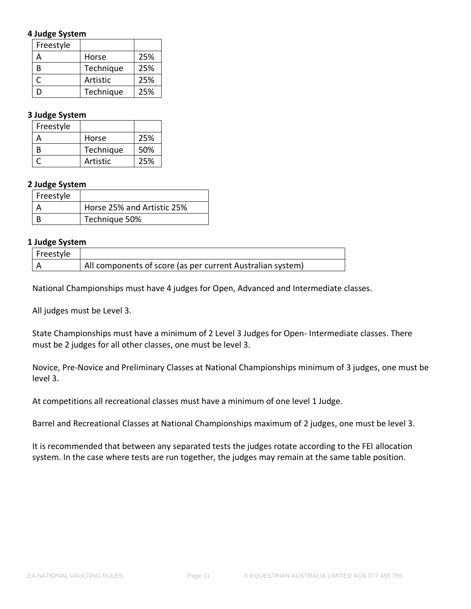# **4 Judge System**

| Freestyle |           |     |
|-----------|-----------|-----|
|           | Horse     | 25% |
| R         | Technique | 25% |
|           | Artistic  | 25% |
| $\Gamma$  | Technique | 25% |

# **3 Judge System**

| Freestyle |           |     |
|-----------|-----------|-----|
|           | Horse     | 25% |
|           | Technique | 50% |
|           | Artistic  | 25% |

# **2 Judge System**

| Freestyle |                            |
|-----------|----------------------------|
|           | Horse 25% and Artistic 25% |
|           | Technique 50%              |

#### **1 Judge System**

| Freestyle |                                                            |
|-----------|------------------------------------------------------------|
|           | All components of score (as per current Australian system) |

National Championships must have 4 judges for Open, Advanced and Intermediate classes.

All judges must be Level 3.

State Championships must have a minimum of 2 Level 3 Judges for Open- Intermediate classes. There must be 2 judges for all other classes, one must be level 3.

Novice, Pre-Novice and Preliminary Classes at National Championships minimum of 3 judges, one must be level 3.

At competitions all recreational classes must have a minimum of one level 1 Judge.

Barrel and Recreational Classes at National Championships maximum of 2 judges, one must be level 3.

It is recommended that between any separated tests the judges rotate according to the FEI allocation system. In the case where tests are run together, the judges may remain at the same table position.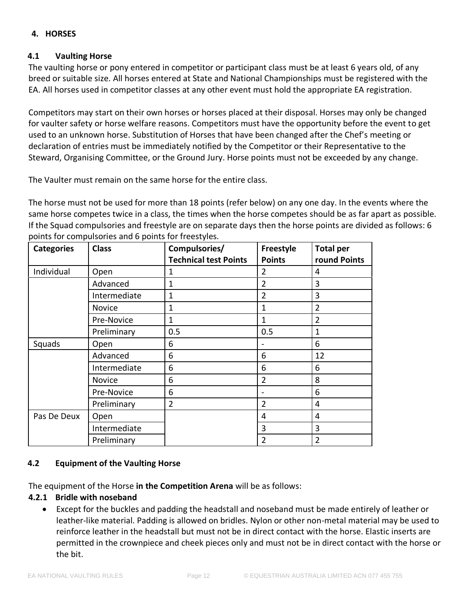# <span id="page-11-0"></span>**4. HORSES**

# <span id="page-11-1"></span>**4.1 Vaulting Horse**

The vaulting horse or pony entered in competitor or participant class must be at least 6 years old, of any breed or suitable size. All horses entered at State and National Championships must be registered with the EA. All horses used in competitor classes at any other event must hold the appropriate EA registration.

Competitors may start on their own horses or horses placed at their disposal. Horses may only be changed for vaulter safety or horse welfare reasons. Competitors must have the opportunity before the event to get used to an unknown horse. Substitution of Horses that have been changed after the Chef's meeting or declaration of entries must be immediately notified by the Competitor or their Representative to the Steward, Organising Committee, or the Ground Jury. Horse points must not be exceeded by any change.

The Vaulter must remain on the same horse for the entire class.

The horse must not be used for more than 18 points (refer below) on any one day. In the events where the same horse competes twice in a class, the times when the horse competes should be as far apart as possible. If the Squad compulsories and freestyle are on separate days then the horse points are divided as follows: 6 points for compulsories and 6 points for freestyles.

| <b>Categories</b><br><b>Class</b> |               | Compulsories/                | Freestyle      | <b>Total per</b> |
|-----------------------------------|---------------|------------------------------|----------------|------------------|
|                                   |               | <b>Technical test Points</b> | <b>Points</b>  | round Points     |
| Individual                        | Open          | 1                            | 2              | 4                |
|                                   | Advanced      | 1                            | $\overline{2}$ | 3                |
|                                   | Intermediate  | 1                            | 2              | 3                |
|                                   | <b>Novice</b> | 1                            | 1              | $\overline{2}$   |
|                                   | Pre-Novice    | 1                            | 1              | $\overline{2}$   |
|                                   | Preliminary   | 0.5                          | 0.5            | 1                |
| Squads                            | Open          | 6                            |                | 6                |
|                                   | Advanced      | 6                            | 6              | 12               |
|                                   | Intermediate  | 6                            | 6              | 6                |
|                                   | Novice        | 6                            | $\overline{2}$ | 8                |
|                                   | Pre-Novice    | 6                            |                | 6                |
|                                   | Preliminary   | $\overline{2}$               | 2              | 4                |
| Pas De Deux                       | Open          |                              | 4              | 4                |
|                                   | Intermediate  |                              | 3              | 3                |
|                                   | Preliminary   |                              | 2              | $\overline{2}$   |

# <span id="page-11-2"></span>**4.2 Equipment of the Vaulting Horse**

The equipment of the Horse **in the Competition Arena** will be as follows:

# **4.2.1 Bridle with noseband**

• Except for the buckles and padding the headstall and noseband must be made entirely of leather or leather-like material. Padding is allowed on bridles. Nylon or other non-metal material may be used to reinforce leather in the headstall but must not be in direct contact with the horse. Elastic inserts are permitted in the crownpiece and cheek pieces only and must not be in direct contact with the horse or the bit.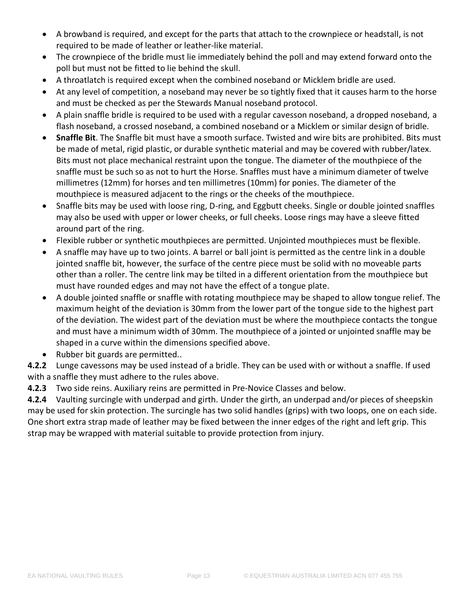- A browband is required, and except for the parts that attach to the crownpiece or headstall, is not required to be made of leather or leather-like material.
- The crownpiece of the bridle must lie immediately behind the poll and may extend forward onto the poll but must not be fitted to lie behind the skull.
- A throatlatch is required except when the combined noseband or Micklem bridle are used.
- At any level of competition, a noseband may never be so tightly fixed that it causes harm to the horse and must be checked as per the Stewards Manual noseband protocol.
- A plain snaffle bridle is required to be used with a regular cavesson noseband, a dropped noseband, a flash noseband, a crossed noseband, a combined noseband or a Micklem or similar design of bridle.
- **Snaffle Bit**. The Snaffle bit must have a smooth surface. Twisted and wire bits are prohibited. Bits must be made of metal, rigid plastic, or durable synthetic material and may be covered with rubber/latex. Bits must not place mechanical restraint upon the tongue. The diameter of the mouthpiece of the snaffle must be such so as not to hurt the Horse. Snaffles must have a minimum diameter of twelve millimetres (12mm) for horses and ten millimetres (10mm) for ponies. The diameter of the mouthpiece is measured adjacent to the rings or the cheeks of the mouthpiece.
- Snaffle bits may be used with loose ring, D-ring, and Eggbutt cheeks. Single or double jointed snaffles may also be used with upper or lower cheeks, or full cheeks. Loose rings may have a sleeve fitted around part of the ring.
- Flexible rubber or synthetic mouthpieces are permitted. Unjointed mouthpieces must be flexible.
- A snaffle may have up to two joints. A barrel or ball joint is permitted as the centre link in a double jointed snaffle bit, however, the surface of the centre piece must be solid with no moveable parts other than a roller. The centre link may be tilted in a different orientation from the mouthpiece but must have rounded edges and may not have the effect of a tongue plate.
- A double jointed snaffle or snaffle with rotating mouthpiece may be shaped to allow tongue relief. The maximum height of the deviation is 30mm from the lower part of the tongue side to the highest part of the deviation. The widest part of the deviation must be where the mouthpiece contacts the tongue and must have a minimum width of 30mm. The mouthpiece of a jointed or unjointed snaffle may be shaped in a curve within the dimensions specified above.
- Rubber bit guards are permitted..

**4.2.2** Lunge cavessons may be used instead of a bridle. They can be used with or without a snaffle. If used with a snaffle they must adhere to the rules above.

**4.2.3** Two side reins. Auxiliary reins are permitted in Pre-Novice Classes and below.

**4.2.4** Vaulting surcingle with underpad and girth. Under the girth, an underpad and/or pieces of sheepskin may be used for skin protection. The surcingle has two solid handles (grips) with two loops, one on each side. One short extra strap made of leather may be fixed between the inner edges of the right and left grip. This strap may be wrapped with material suitable to provide protection from injury.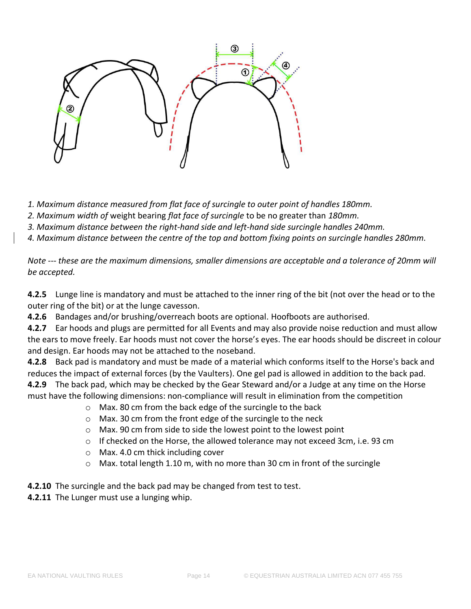

*1. Maximum distance measured from flat face of surcingle to outer point of handles 180mm.* 

*2. Maximum width of* weight bearing *flat face of surcingle* to be no greater than *180mm.* 

*3. Maximum distance between the right-hand side and left-hand side surcingle handles 240mm.* 

*4. Maximum distance between the centre of the top and bottom fixing points on surcingle handles 280mm.* 

*Note --- these are the maximum dimensions, smaller dimensions are acceptable and a tolerance of 20mm will be accepted.* 

**4.2.5** Lunge line is mandatory and must be attached to the inner ring of the bit (not over the head or to the outer ring of the bit) or at the lunge cavesson.

**4.2.6** Bandages and/or brushing/overreach boots are optional. Hoofboots are authorised.

**4.2.7** Ear hoods and plugs are permitted for all Events and may also provide noise reduction and must allow the ears to move freely. Ear hoods must not cover the horse's eyes. The ear hoods should be discreet in colour and design. Ear hoods may not be attached to the noseband.

**4.2.8** Back pad is mandatory and must be made of a material which conforms itself to the Horse's back and reduces the impact of external forces (by the Vaulters). One gel pad is allowed in addition to the back pad. **4.2.9** The back pad, which may be checked by the Gear Steward and/or a Judge at any time on the Horse must have the following dimensions: non-compliance will result in elimination from the competition

- o Max. 80 cm from the back edge of the surcingle to the back
- o Max. 30 cm from the front edge of the surcingle to the neck
- o Max. 90 cm from side to side the lowest point to the lowest point
- o If checked on the Horse, the allowed tolerance may not exceed 3cm, i.e. 93 cm
- o Max. 4.0 cm thick including cover
- o Max. total length 1.10 m, with no more than 30 cm in front of the surcingle
- **4.2.10** The surcingle and the back pad may be changed from test to test.
- **4.2.11** The Lunger must use a lunging whip.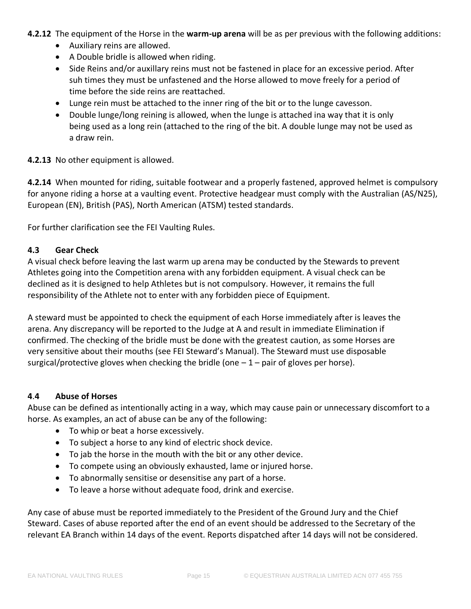- **4.2.12** The equipment of the Horse in the **warm-up arena** will be as per previous with the following additions:
	- Auxiliary reins are allowed.
	- A Double bridle is allowed when riding.
	- Side Reins and/or auxillary reins must not be fastened in place for an excessive period. After suh times they must be unfastened and the Horse allowed to move freely for a period of time before the side reins are reattached.
	- Lunge rein must be attached to the inner ring of the bit or to the lunge cavesson.
	- Double lunge/long reining is allowed, when the lunge is attached ina way that it is only being used as a long rein (attached to the ring of the bit. A double lunge may not be used as a draw rein.

# **4.2.13** No other equipment is allowed.

**4.2.14** When mounted for riding, suitable footwear and a properly fastened, approved helmet is compulsory for anyone riding a horse at a vaulting event. Protective headgear must comply with the Australian (AS/N25), European (EN), British (PAS), North American (ATSM) tested standards.

For further clarification see the FEI Vaulting Rules.

# <span id="page-14-0"></span>**4.3 Gear Check**

A visual check before leaving the last warm up arena may be conducted by the Stewards to prevent Athletes going into the Competition arena with any forbidden equipment. A visual check can be declined as it is designed to help Athletes but is not compulsory. However, it remains the full responsibility of the Athlete not to enter with any forbidden piece of Equipment.

A steward must be appointed to check the equipment of each Horse immediately after is leaves the arena. Any discrepancy will be reported to the Judge at A and result in immediate Elimination if confirmed. The checking of the bridle must be done with the greatest caution, as some Horses are very sensitive about their mouths (see FEI Steward's Manual). The Steward must use disposable surgical/protective gloves when checking the bridle (one  $-1$  – pair of gloves per horse).

# <span id="page-14-1"></span>**4**.**4 Abuse of Horses**

Abuse can be defined as intentionally acting in a way, which may cause pain or unnecessary discomfort to a horse. As examples, an act of abuse can be any of the following:

- To whip or beat a horse excessively.
- To subject a horse to any kind of electric shock device.
- To jab the horse in the mouth with the bit or any other device.
- To compete using an obviously exhausted, lame or injured horse.
- To abnormally sensitise or desensitise any part of a horse.
- To leave a horse without adequate food, drink and exercise.

Any case of abuse must be reported immediately to the President of the Ground Jury and the Chief Steward. Cases of abuse reported after the end of an event should be addressed to the Secretary of the relevant EA Branch within 14 days of the event. Reports dispatched after 14 days will not be considered.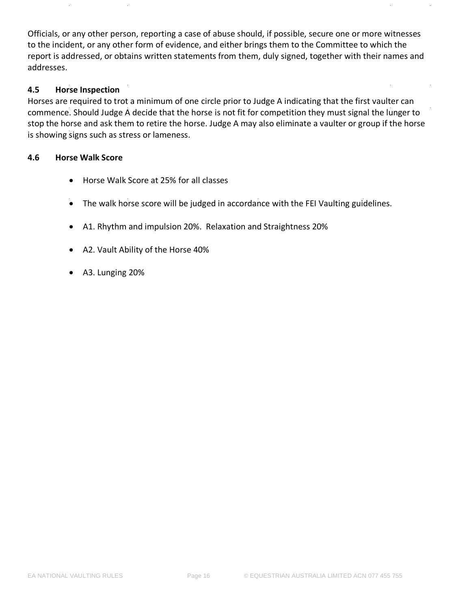Officials, or any other person, reporting a case of abuse should, if possible, secure one or more witnesses to the incident, or any other form of evidence, and either brings them to the Committee to which the report is addressed, or obtains written statements from them, duly signed, together with their names and addresses.

# <span id="page-15-0"></span>**4.5 Horse Inspection**

Horses are required to trot a minimum of one circle prior to Judge A indicating that the first vaulter can commence. Should Judge A decide that the horse is not fit for competition they must signal the lunger to stop the horse and ask them to retire the horse. Judge A may also eliminate a vaulter or group if the horse is showing signs such as stress or lameness.

#### **4.6 Horse Walk Score**

- Horse Walk Score at 25% for all classes
- The walk horse score will be judged in accordance with the FEI Vaulting guidelines.
- A1. Rhythm and impulsion 20%. Relaxation and Straightness 20%
- A2. Vault Ability of the Horse 40%
- A3. Lunging 20%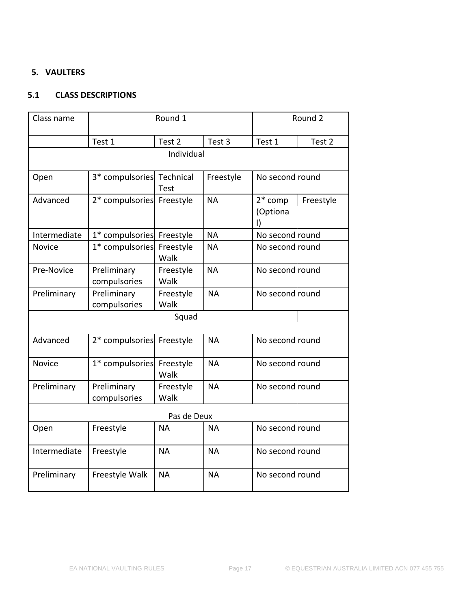# <span id="page-16-0"></span>**5. VAULTERS**

# <span id="page-16-1"></span>**5.1 CLASS DESCRIPTIONS**

| Class name    | Round 1                     |                   |           | Round 2                     |                 |  |  |
|---------------|-----------------------------|-------------------|-----------|-----------------------------|-----------------|--|--|
|               | Test 1                      | Test 2            | Test 3    | Test 1                      | Test 2          |  |  |
|               | Individual                  |                   |           |                             |                 |  |  |
| Open          | 3* compulsories             | Technical<br>Test | Freestyle |                             | No second round |  |  |
| Advanced      | 2* compulsories Freestyle   |                   | <b>NA</b> | $2*$ comp<br>(Optiona<br>I) | Freestyle       |  |  |
| Intermediate  | 1* compulsories Freestyle   |                   | <b>NA</b> | No second round             |                 |  |  |
| <b>Novice</b> | 1* compulsories             | Freestyle<br>Walk | <b>NA</b> | No second round             |                 |  |  |
| Pre-Novice    | Preliminary<br>compulsories | Freestyle<br>Walk | <b>NA</b> | No second round             |                 |  |  |
| Preliminary   | Preliminary<br>compulsories | Freestyle<br>Walk | <b>NA</b> | No second round             |                 |  |  |
|               |                             | Squad             |           |                             |                 |  |  |
| Advanced      | 2* compulsories             | Freestyle         | <b>NA</b> | No second round             |                 |  |  |
| <b>Novice</b> | 1* compulsories             | Freestyle<br>Walk | <b>NA</b> | No second round             |                 |  |  |
| Preliminary   | Preliminary<br>compulsories | Freestyle<br>Walk | <b>NA</b> | No second round             |                 |  |  |
| Pas de Deux   |                             |                   |           |                             |                 |  |  |
| Open          | Freestyle                   | <b>NA</b>         | <b>NA</b> | No second round             |                 |  |  |
| Intermediate  | Freestyle                   | <b>NA</b>         | <b>NA</b> | No second round             |                 |  |  |
| Preliminary   | Freestyle Walk              | <b>NA</b>         | <b>NA</b> | No second round             |                 |  |  |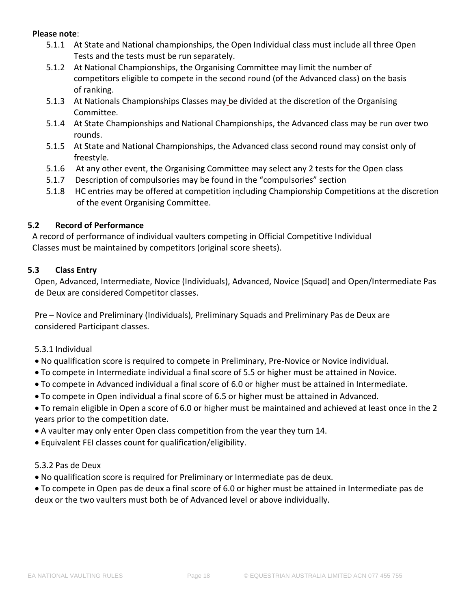#### **Please note**:

- 5.1.1 At State and National championships, the Open Individual class must include all three Open Tests and the tests must be run separately.
- 5.1.2 At National Championships, the Organising Committee may limit the number of competitors eligible to compete in the second round (of the Advanced class) on the basis of ranking.
- 5.1.3 At Nationals Championships Classes may be divided at the discretion of the Organising Committee.
- 5.1.4 At State Championships and National Championships, the Advanced class may be run over two rounds.
- 5.1.5 At State and National Championships, the Advanced class second round may consist only of freestyle.
- 5.1.6 At any other event, the Organising Committee may select any 2 tests for the Open class
- 5.1.7 Description of compulsories may be found in the "compulsories" section
- 5.1.8 HC entries may be offered at competition including Championship Competitions at the discretion of the event Organising Committee.

# <span id="page-17-0"></span>**5.2 Record of Performance**

A record of performance of individual vaulters competing in Official Competitive Individual Classes must be maintained by competitors (original score sheets).

# <span id="page-17-1"></span>**5.3 Class Entry**

Open, Advanced, Intermediate, Novice (Individuals), Advanced, Novice (Squad) and Open/Intermediate Pas de Deux are considered Competitor classes.

Pre – Novice and Preliminary (Individuals), Preliminary Squads and Preliminary Pas de Deux are considered Participant classes.

- 5.3.1 Individual
- No qualification score is required to compete in Preliminary, Pre-Novice or Novice individual.
- To compete in Intermediate individual a final score of 5.5 or higher must be attained in Novice.
- To compete in Advanced individual a final score of 6.0 or higher must be attained in Intermediate.
- To compete in Open individual a final score of 6.5 or higher must be attained in Advanced.
- To remain eligible in Open a score of 6.0 or higher must be maintained and achieved at least once in the 2 years prior to the competition date.
- A vaulter may only enter Open class competition from the year they turn 14.
- Equivalent FEI classes count for qualification/eligibility.
- 5.3.2 Pas de Deux
- No qualification score is required for Preliminary or Intermediate pas de deux.
- To compete in Open pas de deux a final score of 6.0 or higher must be attained in Intermediate pas de deux or the two vaulters must both be of Advanced level or above individually.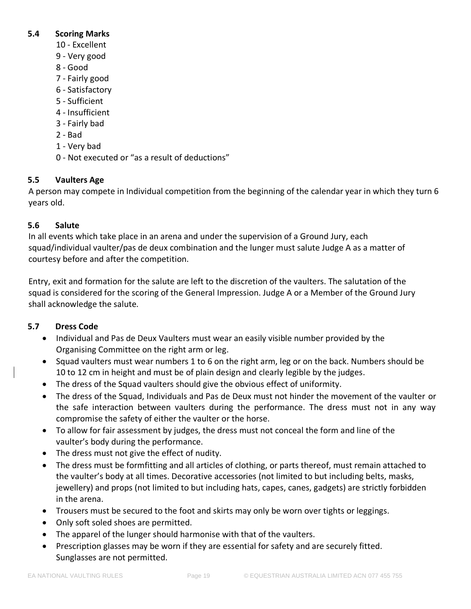# <span id="page-18-0"></span>**5.4 Scoring Marks**

- 10 Excellent
- 9 Very good
- 8 Good
- 7 Fairly good
- 6 Satisfactory
- 5 Sufficient
- 4 Insufficient
- 3 Fairly bad
- 2 Bad
- 1 Very bad
- 0 Not executed or "as a result of deductions"

# <span id="page-18-1"></span>**5.5 Vaulters Age**

A person may compete in Individual competition from the beginning of the calendar year in which they turn 6 years old.

# <span id="page-18-2"></span>**5.6 Salute**

In all events which take place in an arena and under the supervision of a Ground Jury, each squad/individual vaulter/pas de deux combination and the lunger must salute Judge A as a matter of courtesy before and after the competition.

Entry, exit and formation for the salute are left to the discretion of the vaulters. The salutation of the squad is considered for the scoring of the General Impression. Judge A or a Member of the Ground Jury shall acknowledge the salute.

# <span id="page-18-3"></span>**5.7 Dress Code**

- Individual and Pas de Deux Vaulters must wear an easily visible number provided by the Organising Committee on the right arm or leg.
- Squad vaulters must wear numbers 1 to 6 on the right arm, leg or on the back. Numbers should be 10 to 12 cm in height and must be of plain design and clearly legible by the judges.
- The dress of the Squad vaulters should give the obvious effect of uniformity.
- The dress of the Squad, Individuals and Pas de Deux must not hinder the movement of the vaulter or the safe interaction between vaulters during the performance. The dress must not in any way compromise the safety of either the vaulter or the horse.
- To allow for fair assessment by judges, the dress must not conceal the form and line of the vaulter's body during the performance.
- The dress must not give the effect of nudity.
- The dress must be formfitting and all articles of clothing, or parts thereof, must remain attached to the vaulter's body at all times. Decorative accessories (not limited to but including belts, masks, jewellery) and props (not limited to but including hats, capes, canes, gadgets) are strictly forbidden in the arena.
- Trousers must be secured to the foot and skirts may only be worn over tights or leggings.
- Only soft soled shoes are permitted.
- The apparel of the lunger should harmonise with that of the vaulters.
- Prescription glasses may be worn if they are essential for safety and are securely fitted. Sunglasses are not permitted.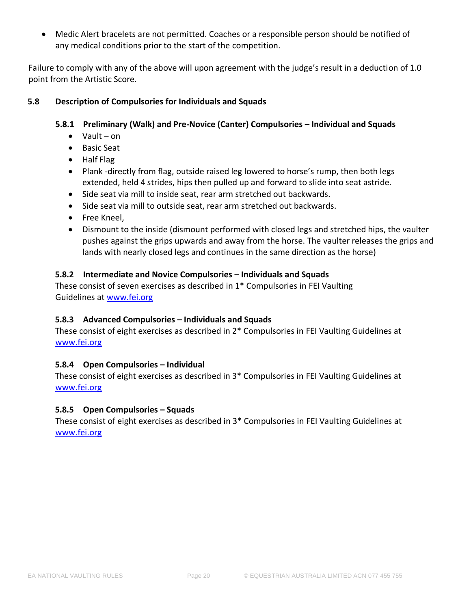• Medic Alert bracelets are not permitted. Coaches or a responsible person should be notified of any medical conditions prior to the start of the competition.

Failure to comply with any of the above will upon agreement with the judge's result in a deduction of 1.0 point from the Artistic Score.

# <span id="page-19-0"></span>**5.8 Description of Compulsories for Individuals and Squads**

# **5.8.1 Preliminary (Walk) and Pre-Novice (Canter) Compulsories – Individual and Squads**

- Vault on
- Basic Seat
- Half Flag
- Plank -directly from flag, outside raised leg lowered to horse's rump, then both legs extended, held 4 strides, hips then pulled up and forward to slide into seat astride.
- Side seat via mill to inside seat, rear arm stretched out backwards.
- Side seat via mill to outside seat, rear arm stretched out backwards.
- Free Kneel,
- Dismount to the inside (dismount performed with closed legs and stretched hips, the vaulter pushes against the grips upwards and away from the horse. The vaulter releases the grips and lands with nearly closed legs and continues in the same direction as the horse)

# **5.8.2 Intermediate and Novice Compulsories – Individuals and Squads**

These consist of seven exercises as described in 1\* Compulsories in FEI Vaulting Guidelines a[t www.fei.org](https://inside.fei.org/sites/default/files/2019%20Vaulting%20Guidelines%20%20clean_up%20version_14.03.2019_updated%2029.03.2019.pdf)

# **5.8.3 Advanced Compulsories – Individuals and Squads**

These consist of eight exercises as described in 2\* Compulsories in FEI Vaulting Guidelines at [www.fei.org](https://inside.fei.org/sites/default/files/2019%20Vaulting%20Guidelines%20%20clean_up%20version_14.03.2019_updated%2029.03.2019.pdf)

# **5.8.4 Open Compulsories – Individual**

These consist of eight exercises as described in 3\* Compulsories in FEI Vaulting Guidelines at [www.fei.org](https://inside.fei.org/sites/default/files/2019%20Vaulting%20Guidelines%20%20clean_up%20version_14.03.2019_updated%2029.03.2019.pdf)

# **5.8.5 Open Compulsories – Squads**

These consist of eight exercises as described in 3\* Compulsories in FEI Vaulting Guidelines at [www.fei.org](https://inside.fei.org/sites/default/files/2019%20Vaulting%20Guidelines%20%20clean_up%20version_14.03.2019_updated%2029.03.2019.pdf)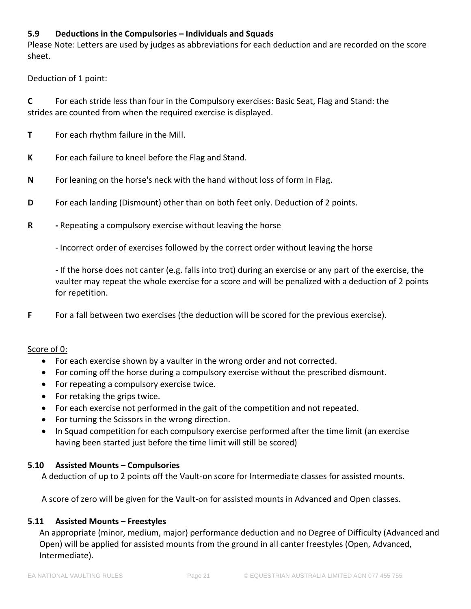# **5.9 Deductions in the Compulsories – Individuals and Squads**

Please Note: Letters are used by judges as abbreviations for each deduction and are recorded on the score sheet.

Deduction of 1 point:

**C** For each stride less than four in the Compulsory exercises: Basic Seat, Flag and Stand: the strides are counted from when the required exercise is displayed.

- **T** For each rhythm failure in the Mill.
- **K** For each failure to kneel before the Flag and Stand.
- **N** For leaning on the horse's neck with the hand without loss of form in Flag.
- **D** For each landing (Dismount) other than on both feet only. Deduction of 2 points.
- **R -** Repeating a compulsory exercise without leaving the horse
	- Incorrect order of exercises followed by the correct order without leaving the horse

- If the horse does not canter (e.g. falls into trot) during an exercise or any part of the exercise, the vaulter may repeat the whole exercise for a score and will be penalized with a deduction of 2 points for repetition.

**F** For a fall between two exercises (the deduction will be scored for the previous exercise).

#### Score of 0:

- For each exercise shown by a vaulter in the wrong order and not corrected.
- For coming off the horse during a compulsory exercise without the prescribed dismount.
- For repeating a compulsory exercise twice.
- For retaking the grips twice.
- For each exercise not performed in the gait of the competition and not repeated.
- For turning the Scissors in the wrong direction.
- In Squad competition for each compulsory exercise performed after the time limit (an exercise having been started just before the time limit will still be scored)

# <span id="page-20-0"></span>**5.10 Assisted Mounts – Compulsories**

A deduction of up to 2 points off the Vault-on score for Intermediate classes for assisted mounts.

A score of zero will be given for the Vault-on for assisted mounts in Advanced and Open classes.

#### <span id="page-20-1"></span>**5.11 Assisted Mounts – Freestyles**

An appropriate (minor, medium, major) performance deduction and no Degree of Difficulty (Advanced and Open) will be applied for assisted mounts from the ground in all canter freestyles (Open, Advanced, Intermediate).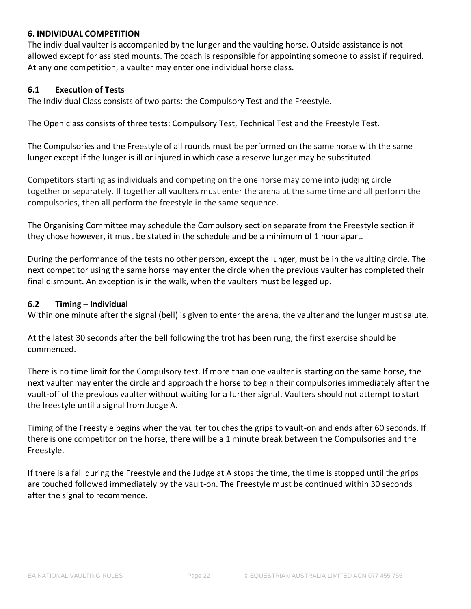# <span id="page-21-0"></span>**6. INDIVIDUAL COMPETITION**

The individual vaulter is accompanied by the lunger and the vaulting horse. Outside assistance is not allowed except for assisted mounts. The coach is responsible for appointing someone to assist if required. At any one competition, a vaulter may enter one individual horse class.

#### <span id="page-21-1"></span>**6.1 Execution of Tests**

The Individual Class consists of two parts: the Compulsory Test and the Freestyle.

The Open class consists of three tests: Compulsory Test, Technical Test and the Freestyle Test.

The Compulsories and the Freestyle of all rounds must be performed on the same horse with the same lunger except if the lunger is ill or injured in which case a reserve lunger may be substituted.

Competitors starting as individuals and competing on the one horse may come into judging circle together or separately. If together all vaulters must enter the arena at the same time and all perform the compulsories, then all perform the freestyle in the same sequence.

The Organising Committee may schedule the Compulsory section separate from the Freestyle section if they chose however, it must be stated in the schedule and be a minimum of 1 hour apart.

During the performance of the tests no other person, except the lunger, must be in the vaulting circle. The next competitor using the same horse may enter the circle when the previous vaulter has completed their final dismount. An exception is in the walk, when the vaulters must be legged up.

#### <span id="page-21-2"></span>**6.2 Timing – Individual**

Within one minute after the signal (bell) is given to enter the arena, the vaulter and the lunger must salute.

At the latest 30 seconds after the bell following the trot has been rung, the first exercise should be commenced.

There is no time limit for the Compulsory test. If more than one vaulter is starting on the same horse, the next vaulter may enter the circle and approach the horse to begin their compulsories immediately after the vault-off of the previous vaulter without waiting for a further signal. Vaulters should not attempt to start the freestyle until a signal from Judge A.

Timing of the Freestyle begins when the vaulter touches the grips to vault-on and ends after 60 seconds. If there is one competitor on the horse, there will be a 1 minute break between the Compulsories and the Freestyle.

If there is a fall during the Freestyle and the Judge at A stops the time, the time is stopped until the grips are touched followed immediately by the vault-on. The Freestyle must be continued within 30 seconds after the signal to recommence.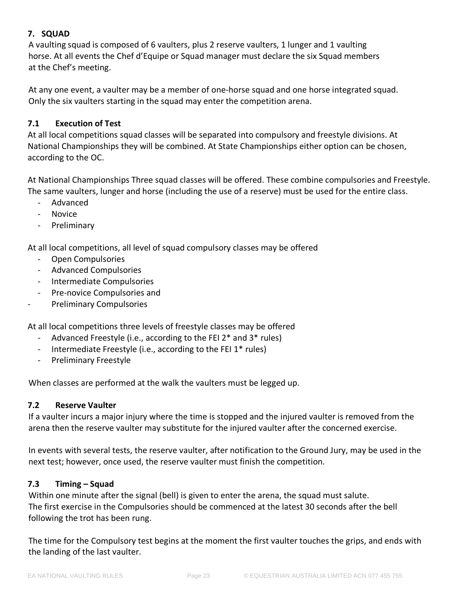# <span id="page-22-0"></span>**7. SQUAD**

A vaulting squad is composed of 6 vaulters, plus 2 reserve vaulters, 1 lunger and 1 vaulting horse. At all events the Chef d'Equipe or Squad manager must declare the six Squad members at the Chef's meeting.

At any one event, a vaulter may be a member of one-horse squad and one horse integrated squad. Only the six vaulters starting in the squad may enter the competition arena.

# <span id="page-22-1"></span>**7.1 Execution of Test**

At all local competitions squad classes will be separated into compulsory and freestyle divisions. At National Championships they will be combined. At State Championships either option can be chosen, according to the OC.

At National Championships Three squad classes will be offered. These combine compulsories and Freestyle. The same vaulters, lunger and horse (including the use of a reserve) must be used for the entire class.

- Advanced
- Novice
- Preliminary

At all local competitions, all level of squad compulsory classes may be offered

- Open Compulsories
- Advanced Compulsories
- Intermediate Compulsories
- Pre-novice Compulsories and
- Preliminary Compulsories

At all local competitions three levels of freestyle classes may be offered

- Advanced Freestyle (i.e., according to the FEI 2\* and 3\* rules)
- Intermediate Freestyle (i.e., according to the FEI 1\* rules)
- Preliminary Freestyle

When classes are performed at the walk the vaulters must be legged up.

# <span id="page-22-2"></span>**7.2 Reserve Vaulter**

If a vaulter incurs a major injury where the time is stopped and the injured vaulter is removed from the arena then the reserve vaulter may substitute for the injured vaulter after the concerned exercise.

In events with several tests, the reserve vaulter, after notification to the Ground Jury, may be used in the next test; however, once used, the reserve vaulter must finish the competition.

# <span id="page-22-3"></span>**7.3 Timing – Squad**

Within one minute after the signal (bell) is given to enter the arena, the squad must salute. The first exercise in the Compulsories should be commenced at the latest 30 seconds after the bell following the trot has been rung.

The time for the Compulsory test begins at the moment the first vaulter touches the grips, and ends with the landing of the last vaulter.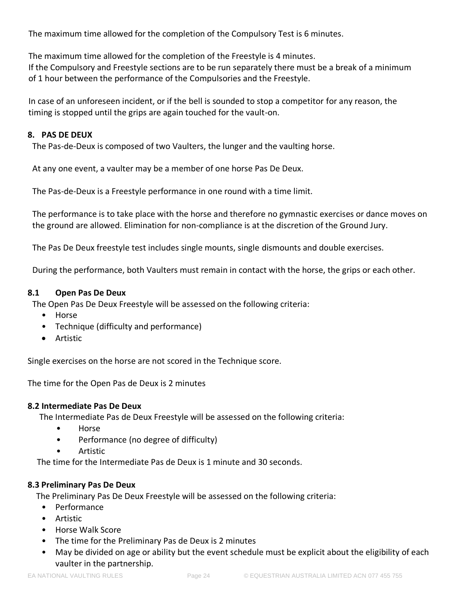The maximum time allowed for the completion of the Compulsory Test is 6 minutes.

The maximum time allowed for the completion of the Freestyle is 4 minutes. If the Compulsory and Freestyle sections are to be run separately there must be a break of a minimum of 1 hour between the performance of the Compulsories and the Freestyle.

In case of an unforeseen incident, or if the bell is sounded to stop a competitor for any reason, the timing is stopped until the grips are again touched for the vault-on.

# <span id="page-23-0"></span>**8. PAS DE DEUX**

The Pas-de-Deux is composed of two Vaulters, the lunger and the vaulting horse.

At any one event, a vaulter may be a member of one horse Pas De Deux.

The Pas-de-Deux is a Freestyle performance in one round with a time limit.

The performance is to take place with the horse and therefore no gymnastic exercises or dance moves on the ground are allowed. Elimination for non-compliance is at the discretion of the Ground Jury.

The Pas De Deux freestyle test includes single mounts, single dismounts and double exercises.

During the performance, both Vaulters must remain in contact with the horse, the grips or each other.

# <span id="page-23-1"></span>**8.1 Open Pas De Deux**

The Open Pas De Deux Freestyle will be assessed on the following criteria:

- Horse
- Technique (difficulty and performance)
- Artistic

Single exercises on the horse are not scored in the Technique score.

The time for the Open Pas de Deux is 2 minutes

# <span id="page-23-2"></span>**8.2 Intermediate Pas De Deux**

The Intermediate Pas de Deux Freestyle will be assessed on the following criteria:

- Horse
- Performance (no degree of difficulty)
- Artistic

The time for the Intermediate Pas de Deux is 1 minute and 30 seconds.

# <span id="page-23-3"></span>**8.3 Preliminary Pas De Deux**

The Preliminary Pas De Deux Freestyle will be assessed on the following criteria:

- Performance
- Artistic
- Horse Walk Score
- The time for the Preliminary Pas de Deux is 2 minutes
- May be divided on age or ability but the event schedule must be explicit about the eligibility of each vaulter in the partnership.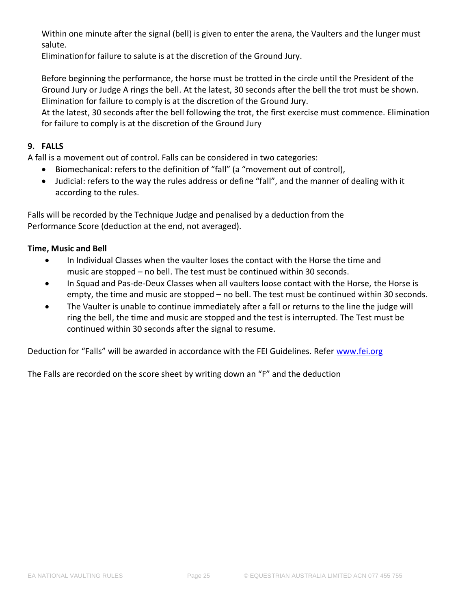Within one minute after the signal (bell) is given to enter the arena, the Vaulters and the lunger must salute.

Eliminationfor failure to salute is at the discretion of the Ground Jury.

Before beginning the performance, the horse must be trotted in the circle until the President of the Ground Jury or Judge A rings the bell. At the latest, 30 seconds after the bell the trot must be shown. Elimination for failure to comply is at the discretion of the Ground Jury.

At the latest, 30 seconds after the bell following the trot, the first exercise must commence. Elimination for failure to comply is at the discretion of the Ground Jury

# <span id="page-24-0"></span>**9. FALLS**

A fall is a movement out of control. Falls can be considered in two categories:

- Biomechanical: refers to the definition of "fall" (a "movement out of control),
- Judicial: refers to the way the rules address or define "fall", and the manner of dealing with it according to the rules.

Falls will be recorded by the Technique Judge and penalised by a deduction from the Performance Score (deduction at the end, not averaged).

# **Time, Music and Bell**

- In Individual Classes when the vaulter loses the contact with the Horse the time and music are stopped – no bell. The test must be continued within 30 seconds.
- In Squad and Pas-de-Deux Classes when all vaulters loose contact with the Horse, the Horse is empty, the time and music are stopped – no bell. The test must be continued within 30 seconds.
- The Vaulter is unable to continue immediately after a fall or returns to the line the judge will ring the bell, the time and music are stopped and the test is interrupted. The Test must be continued within 30 seconds after the signal to resume.

Deduction for "Falls" will be awarded in accordance with the FEI Guidelines. Refer [www.fei.org](http://www.fei.org/)

The Falls are recorded on the score sheet by writing down an "F" and the deduction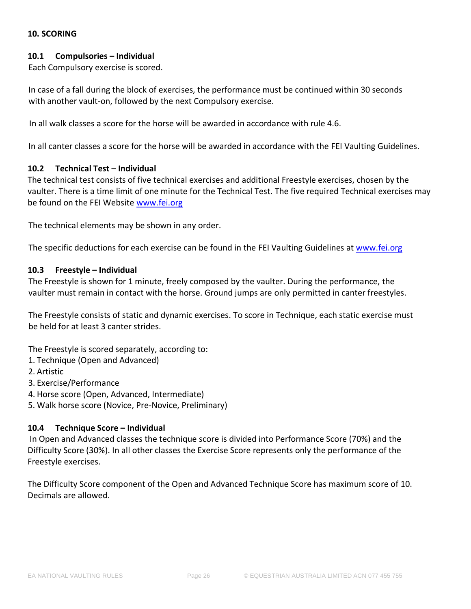# <span id="page-25-0"></span>**10. SCORING**

# <span id="page-25-1"></span>**10.1 Compulsories – Individual**

Each Compulsory exercise is scored.

In case of a fall during the block of exercises, the performance must be continued within 30 seconds with another vault-on, followed by the next Compulsory exercise.

In all walk classes a score for the horse will be awarded in accordance with rule 4.6.

In all canter classes a score for the horse will be awarded in accordance with the FEI Vaulting Guidelines.

#### <span id="page-25-2"></span>**10.2 Technical Test – Individual**

The technical test consists of five technical exercises and additional Freestyle exercises, chosen by the vaulter. There is a time limit of one minute for the Technical Test. The five required Technical exercises may be found on the FEI Website [www.fei.org](https://inside.fei.org/sites/default/files/2019%20Technical%20Test%20Final%20version_updated%2014.03.2019.pdf)

The technical elements may be shown in any order.

The specific deductions for each exercise can be found in the FEI Vaulting Guidelines at [www.fei.org](https://inside.fei.org/sites/default/files/2019%20Vaulting%20Guidelines%20%20clean_up%20version_14.03.2019_updated%2029.03.2019.pdf)

#### <span id="page-25-3"></span>**10.3 Freestyle – Individual**

The Freestyle is shown for 1 minute, freely composed by the vaulter. During the performance, the vaulter must remain in contact with the horse. Ground jumps are only permitted in canter freestyles.

The Freestyle consists of static and dynamic exercises. To score in Technique, each static exercise must be held for at least 3 canter strides.

The Freestyle is scored separately, according to:

- 1. Technique (Open and Advanced)
- 2. Artistic

3. Exercise/Performance

4. Horse score (Open, Advanced, Intermediate)

5. Walk horse score (Novice, Pre-Novice, Preliminary)

#### <span id="page-25-4"></span>**10.4 Technique Score – Individual**

In Open and Advanced classes the technique score is divided into Performance Score (70%) and the Difficulty Score (30%). In all other classes the Exercise Score represents only the performance of the Freestyle exercises.

The Difficulty Score component of the Open and Advanced Technique Score has maximum score of 10. Decimals are allowed.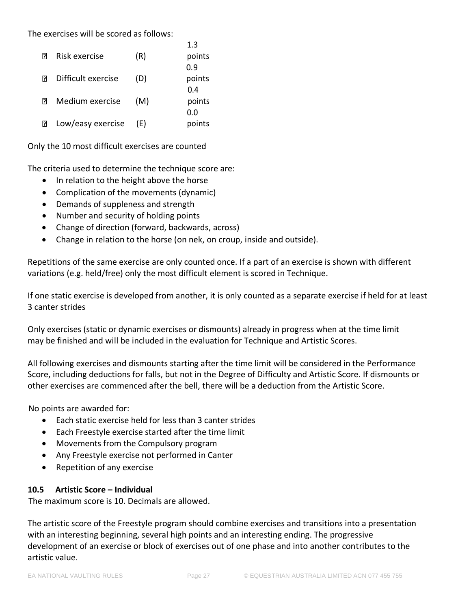The exercises will be scored as follows:

|        |                    |     | 1.3    |
|--------|--------------------|-----|--------|
| 卪      | Risk exercise      | (R) | points |
|        |                    |     | 0.9    |
| 卪      | Difficult exercise | (D) | points |
|        |                    |     | 0.4    |
| 卪      | Medium exercise    | (M) | points |
|        |                    |     | 0.0    |
| $\Box$ | Low/easy exercise  | (E) | points |
|        |                    |     |        |

Only the 10 most difficult exercises are counted

The criteria used to determine the technique score are:

- In relation to the height above the horse
- Complication of the movements (dynamic)
- Demands of suppleness and strength
- Number and security of holding points
- Change of direction (forward, backwards, across)
- Change in relation to the horse (on nek, on croup, inside and outside).

 $\overline{\phantom{a}}$ 

Repetitions of the same exercise are only counted once. If a part of an exercise is shown with different variations (e.g. held/free) only the most difficult element is scored in Technique.

If one static exercise is developed from another, it is only counted as a separate exercise if held for at least 3 canter strides

Only exercises (static or dynamic exercises or dismounts) already in progress when at the time limit may be finished and will be included in the evaluation for Technique and Artistic Scores.

All following exercises and dismounts starting after the time limit will be considered in the Performance Score, including deductions for falls, but not in the Degree of Difficulty and Artistic Score. If dismounts or other exercises are commenced after the bell, there will be a deduction from the Artistic Score.

No points are awarded for:

- Each static exercise held for less than 3 canter strides
- Each Freestyle exercise started after the time limit
- Movements from the Compulsory program
- Any Freestyle exercise not performed in Canter
- Repetition of any exercise

# <span id="page-26-0"></span>**10.5 Artistic Score – Individual**

The maximum score is 10. Decimals are allowed.

The artistic score of the Freestyle program should combine exercises and transitions into a presentation with an interesting beginning, several high points and an interesting ending. The progressive development of an exercise or block of exercises out of one phase and into another contributes to the artistic value.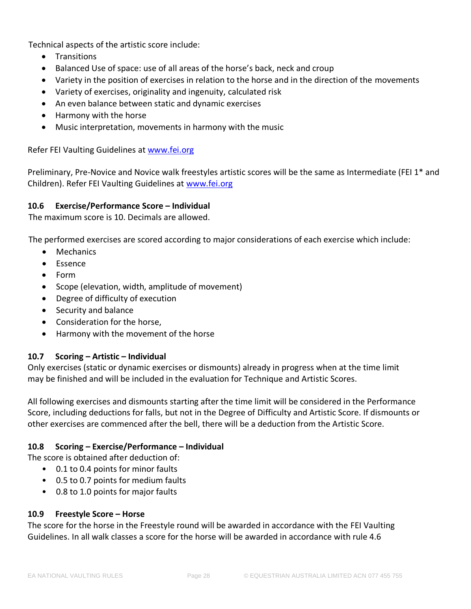Technical aspects of the artistic score include:

- Transitions
- Balanced Use of space: use of all areas of the horse's back, neck and croup
- Variety in the position of exercises in relation to the horse and in the direction of the movements
- Variety of exercises, originality and ingenuity, calculated risk
- An even balance between static and dynamic exercises
- Harmony with the horse
- Music interpretation, movements in harmony with the music

Refer FEI Vaulting Guidelines at [www.fei.org](https://inside.fei.org/sites/default/files/2019%20Vaulting%20Guidelines%20%20clean_up%20version_14.03.2019_updated%2029.03.2019.pdf)

Preliminary, Pre-Novice and Novice walk freestyles artistic scores will be the same as Intermediate (FEI 1\* and Children). Refer FEI Vaulting Guidelines at [www.fei.org](https://inside.fei.org/sites/default/files/2019%20Vaulting%20Guidelines%20%20clean_up%20version_14.03.2019_updated%2029.03.2019.pdf) 

#### <span id="page-27-0"></span>**10.6 Exercise/Performance Score – Individual**

The maximum score is 10. Decimals are allowed.

The performed exercises are scored according to major considerations of each exercise which include:

- Mechanics
- Essence
- Form
- Scope (elevation, width, amplitude of movement)
- Degree of difficulty of execution
- Security and balance
- Consideration for the horse,
- Harmony with the movement of the horse

#### <span id="page-27-1"></span>**10.7 Scoring – Artistic – Individual**

Only exercises (static or dynamic exercises or dismounts) already in progress when at the time limit may be finished and will be included in the evaluation for Technique and Artistic Scores.

All following exercises and dismounts starting after the time limit will be considered in the Performance Score, including deductions for falls, but not in the Degree of Difficulty and Artistic Score. If dismounts or other exercises are commenced after the bell, there will be a deduction from the Artistic Score.

# <span id="page-27-2"></span>**10.8 Scoring – Exercise/Performance – Individual**

The score is obtained after deduction of:

- 0.1 to 0.4 points for minor faults
- 0.5 to 0.7 points for medium faults
- 0.8 to 1.0 points for major faults

# <span id="page-27-3"></span>**10.9 Freestyle Score – Horse**

The score for the horse in the Freestyle round will be awarded in accordance with the FEI Vaulting Guidelines. In all walk classes a score for the horse will be awarded in accordance with rule 4.6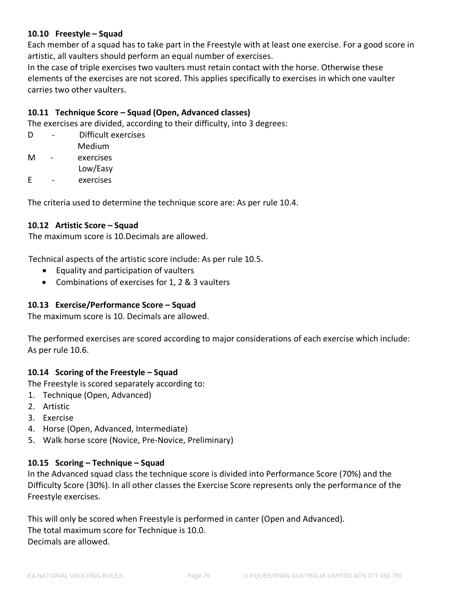# <span id="page-28-0"></span>**10.10 Freestyle – Squad**

Each member of a squad has to take part in the Freestyle with at least one exercise. For a good score in artistic, all vaulters should perform an equal number of exercises.

In the case of triple exercises two vaulters must retain contact with the horse. Otherwise these elements of the exercises are not scored. This applies specifically to exercises in which one vaulter carries two other vaulters.

# <span id="page-28-1"></span>**10.11 Technique Score – Squad (Open, Advanced classes)**

The exercises are divided, according to their difficulty, into 3 degrees:

| D | Difficult exercises |
|---|---------------------|
|   | Medium              |
| м | exercises           |
|   | Low/Easy            |
| F | exercises           |

The criteria used to determine the technique score are: As per rule 10.4.

#### <span id="page-28-2"></span>**10.12 Artistic Score – Squad**

The maximum score is 10.Decimals are allowed.

Technical aspects of the artistic score include: As per rule 10.5.

- Equality and participation of vaulters
- Combinations of exercises for 1, 2 & 3 vaulters

#### <span id="page-28-3"></span>**10.13 Exercise/Performance Score – Squad**

The maximum score is 10. Decimals are allowed.

The performed exercises are scored according to major considerations of each exercise which include: As per rule 10.6.

# <span id="page-28-4"></span>**10.14 Scoring of the Freestyle – Squad**

The Freestyle is scored separately according to:

- 1. Technique (Open, Advanced)
- 2. Artistic
- 3. Exercise
- 4. Horse (Open, Advanced, Intermediate)
- 5. Walk horse score (Novice, Pre-Novice, Preliminary)

#### <span id="page-28-5"></span>**10.15 Scoring – Technique – Squad**

In the Advanced squad class the technique score is divided into Performance Score (70%) and the Difficulty Score (30%). In all other classes the Exercise Score represents only the performance of the Freestyle exercises.

This will only be scored when Freestyle is performed in canter (Open and Advanced). The total maximum score for Technique is 10.0. Decimals are allowed.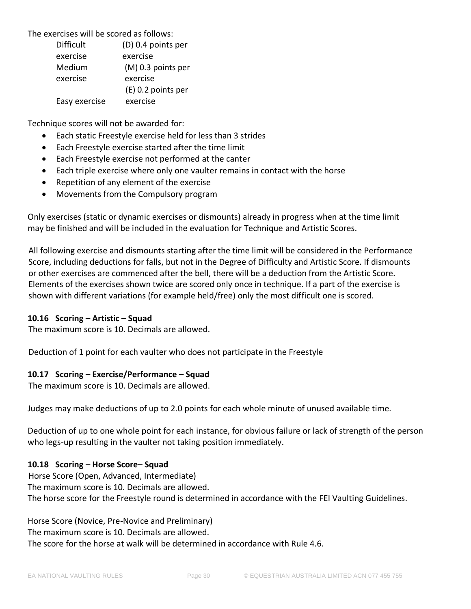The exercises will be scored as follows:

| <b>Difficult</b> | (D) 0.4 points per   |  |  |  |
|------------------|----------------------|--|--|--|
| exercise         | exercise             |  |  |  |
| Medium           | (M) 0.3 points per   |  |  |  |
| exercise         | exercise             |  |  |  |
|                  | $(E)$ 0.2 points per |  |  |  |
| Easy exercise    | exercise             |  |  |  |

Technique scores will not be awarded for:

- Each static Freestyle exercise held for less than 3 strides
- Each Freestyle exercise started after the time limit
- Each Freestyle exercise not performed at the canter
- Each triple exercise where only one vaulter remains in contact with the horse
- Repetition of any element of the exercise
- Movements from the Compulsory program

Only exercises (static or dynamic exercises or dismounts) already in progress when at the time limit may be finished and will be included in the evaluation for Technique and Artistic Scores.

All following exercise and dismounts starting after the time limit will be considered in the Performance Score, including deductions for falls, but not in the Degree of Difficulty and Artistic Score. If dismounts or other exercises are commenced after the bell, there will be a deduction from the Artistic Score. Elements of the exercises shown twice are scored only once in technique. If a part of the exercise is shown with different variations (for example held/free) only the most difficult one is scored.

# <span id="page-29-0"></span>**10.16 Scoring – Artistic – Squad**

The maximum score is 10. Decimals are allowed.

Deduction of 1 point for each vaulter who does not participate in the Freestyle

#### <span id="page-29-1"></span>**10.17 Scoring – Exercise/Performance – Squad**

The maximum score is 10. Decimals are allowed.

Judges may make deductions of up to 2.0 points for each whole minute of unused available time.

Deduction of up to one whole point for each instance, for obvious failure or lack of strength of the person who legs-up resulting in the vaulter not taking position immediately.

# <span id="page-29-2"></span>**10.18 Scoring – Horse Score– Squad**

Horse Score (Open, Advanced, Intermediate) The maximum score is 10. Decimals are allowed. The horse score for the Freestyle round is determined in accordance with the FEI Vaulting Guidelines.

Horse Score (Novice, Pre-Novice and Preliminary) The maximum score is 10. Decimals are allowed. The score for the horse at walk will be determined in accordance with Rule 4.6.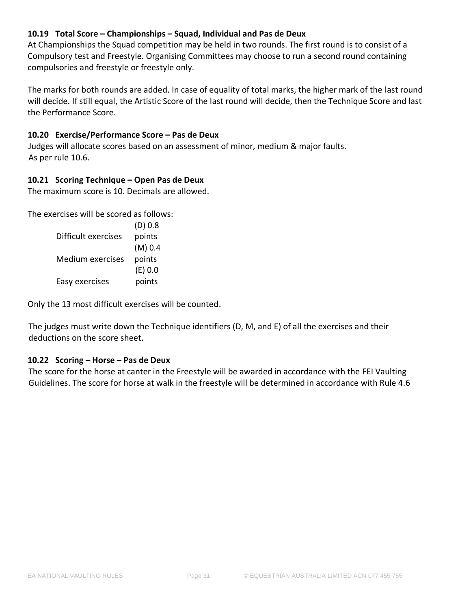# <span id="page-30-0"></span>**10.19 Total Score – Championships – Squad, Individual and Pas de Deux**

At Championships the Squad competition may be held in two rounds. The first round is to consist of a Compulsory test and Freestyle. Organising Committees may choose to run a second round containing compulsories and freestyle or freestyle only.

The marks for both rounds are added. In case of equality of total marks, the higher mark of the last round will decide. If still equal, the Artistic Score of the last round will decide, then the Technique Score and last the Performance Score.

# <span id="page-30-1"></span>**10.20 Exercise/Performance Score – Pas de Deux**

Judges will allocate scores based on an assessment of minor, medium & major faults. As per rule 10.6.

# <span id="page-30-2"></span>**10.21 Scoring Technique – Open Pas de Deux**

The maximum score is 10. Decimals are allowed.

The exercises will be scored as follows:

| (D) 0.8   |
|-----------|
| points    |
| $(M)$ 0.4 |
| points    |
| (E) 0.0   |
| points    |
|           |

Only the 13 most difficult exercises will be counted.

The judges must write down the Technique identifiers (D, M, and E) of all the exercises and their deductions on the score sheet.

# <span id="page-30-3"></span>**10.22 Scoring – Horse – Pas de Deux**

The score for the horse at canter in the Freestyle will be awarded in accordance with the FEI Vaulting Guidelines. The score for horse at walk in the freestyle will be determined in accordance with Rule 4.6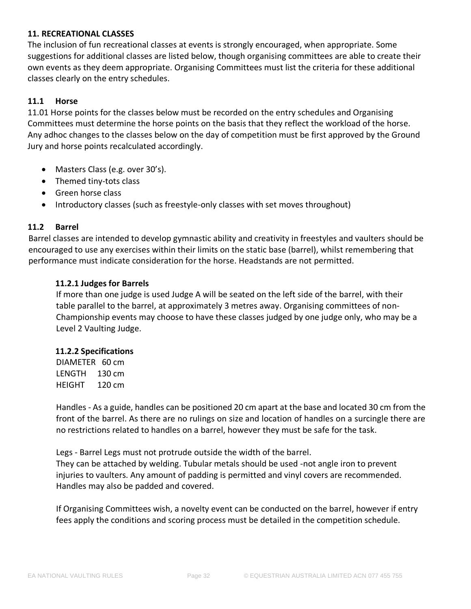# <span id="page-31-0"></span>**11. RECREATIONAL CLASSES**

The inclusion of fun recreational classes at events is strongly encouraged, when appropriate. Some suggestions for additional classes are listed below, though organising committees are able to create their own events as they deem appropriate. Organising Committees must list the criteria for these additional classes clearly on the entry schedules.

# <span id="page-31-1"></span>**11.1 Horse**

11.01 Horse points for the classes below must be recorded on the entry schedules and Organising Committees must determine the horse points on the basis that they reflect the workload of the horse. Any adhoc changes to the classes below on the day of competition must be first approved by the Ground Jury and horse points recalculated accordingly.

- Masters Class (e.g. over 30's).
- Themed tiny-tots class
- Green horse class
- Introductory classes (such as freestyle-only classes with set moves throughout)

#### <span id="page-31-2"></span>**11.2 Barrel**

Barrel classes are intended to develop gymnastic ability and creativity in freestyles and vaulters should be encouraged to use any exercises within their limits on the static base (barrel), whilst remembering that performance must indicate consideration for the horse. Headstands are not permitted.

#### **11.2.1 Judges for Barrels**

If more than one judge is used Judge A will be seated on the left side of the barrel, with their table parallel to the barrel, at approximately 3 metres away. Organising committees of non-Championship events may choose to have these classes judged by one judge only, who may be a Level 2 Vaulting Judge.

#### **11.2.2 Specifications**

DIAMETER 60 cm LENGTH 130 cm HEIGHT 120 cm

Handles - As a guide, handles can be positioned 20 cm apart at the base and located 30 cm from the front of the barrel. As there are no rulings on size and location of handles on a surcingle there are no restrictions related to handles on a barrel, however they must be safe for the task.

Legs - Barrel Legs must not protrude outside the width of the barrel. They can be attached by welding. Tubular metals should be used -not angle iron to prevent

injuries to vaulters. Any amount of padding is permitted and vinyl covers are recommended. Handles may also be padded and covered.

If Organising Committees wish, a novelty event can be conducted on the barrel, however if entry fees apply the conditions and scoring process must be detailed in the competition schedule.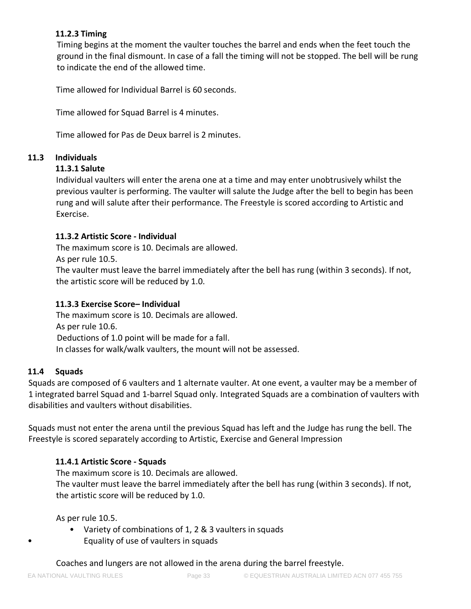# **11.2.3 Timing**

Timing begins at the moment the vaulter touches the barrel and ends when the feet touch the ground in the final dismount. In case of a fall the timing will not be stopped. The bell will be rung to indicate the end of the allowed time.

Time allowed for Individual Barrel is 60 seconds.

Time allowed for Squad Barrel is 4 minutes.

Time allowed for Pas de Deux barrel is 2 minutes.

# <span id="page-32-0"></span>**11.3 Individuals**

# **11.3.1 Salute**

Individual vaulters will enter the arena one at a time and may enter unobtrusively whilst the previous vaulter is performing. The vaulter will salute the Judge after the bell to begin has been rung and will salute after their performance. The Freestyle is scored according to Artistic and Exercise.

# **11.3.2 Artistic Score - Individual**

The maximum score is 10. Decimals are allowed.

As per rule 10.5.

The vaulter must leave the barrel immediately after the bell has rung (within 3 seconds). If not, the artistic score will be reduced by 1.0.

# **11.3.3 Exercise Score– Individual**

The maximum score is 10. Decimals are allowed. As per rule 10.6. Deductions of 1.0 point will be made for a fall. In classes for walk/walk vaulters, the mount will not be assessed.

# <span id="page-32-1"></span>**11.4 Squads**

Squads are composed of 6 vaulters and 1 alternate vaulter. At one event, a vaulter may be a member of 1 integrated barrel Squad and 1-barrel Squad only. Integrated Squads are a combination of vaulters with disabilities and vaulters without disabilities.

Squads must not enter the arena until the previous Squad has left and the Judge has rung the bell. The Freestyle is scored separately according to Artistic, Exercise and General Impression

# **11.4.1 Artistic Score - Squads**

The maximum score is 10. Decimals are allowed. The vaulter must leave the barrel immediately after the bell has rung (within 3 seconds). If not, the artistic score will be reduced by 1.0.

As per rule 10.5.

• Variety of combinations of 1, 2 & 3 vaulters in squads • Equality of use of vaulters in squads

Coaches and lungers are not allowed in the arena during the barrel freestyle.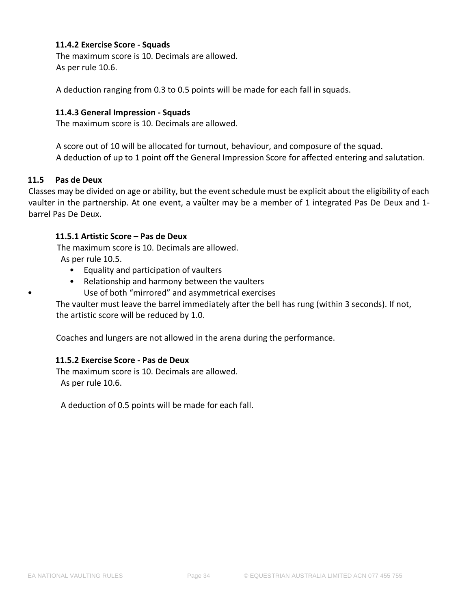## **11.4.2 Exercise Score - Squads**

The maximum score is 10. Decimals are allowed. As per rule 10.6.

A deduction ranging from 0.3 to 0.5 points will be made for each fall in squads.

#### **11.4.3 General Impression - Squads**

The maximum score is 10. Decimals are allowed.

A score out of 10 will be allocated for turnout, behaviour, and composure of the squad. A deduction of up to 1 point off the General Impression Score for affected entering and salutation.

#### <span id="page-33-0"></span>**11.5 Pas de Deux**

Classes may be divided on age or ability, but the event schedule must be explicit about the eligibility of each vaulter in the partnership. At one event, a vaulter may be a member of 1 integrated Pas De Deux and 1barrel Pas De Deux.

#### **11.5.1 Artistic Score – Pas de Deux**

The maximum score is 10. Decimals are allowed. As per rule 10.5.

- Equality and participation of vaulters
- Relationship and harmony between the vaulters • Use of both "mirrored" and asymmetrical exercises

The vaulter must leave the barrel immediately after the bell has rung (within 3 seconds). If not, the artistic score will be reduced by 1.0.

Coaches and lungers are not allowed in the arena during the performance.

#### **11.5.2 Exercise Score - Pas de Deux**

The maximum score is 10. Decimals are allowed. As per rule 10.6.

A deduction of 0.5 points will be made for each fall.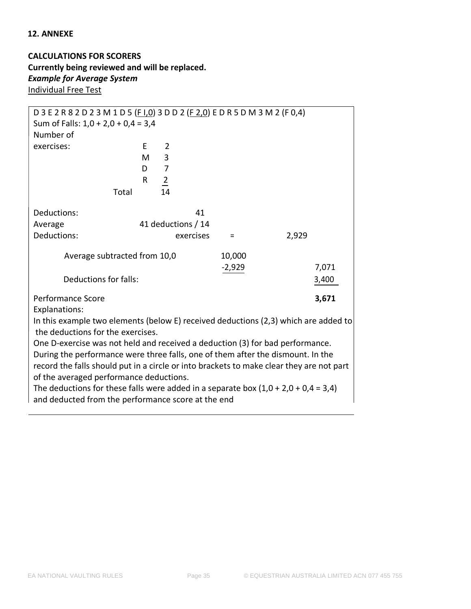## <span id="page-34-0"></span>**12. ANNEXE**

**CALCULATIONS FOR SCORERS Currently being reviewed and will be replaced.** *Example for Average System* Individual Free Test

| D 3 E 2 R 8 2 D 2 3 M 1 D 5 (F I,0) 3 D D 2 (F 2,0) E D R 5 D M 3 M 2 (F 0,4)            |   |                |                    |          |       |       |  |  |
|------------------------------------------------------------------------------------------|---|----------------|--------------------|----------|-------|-------|--|--|
| Sum of Falls: $1,0 + 2,0 + 0,4 = 3,4$                                                    |   |                |                    |          |       |       |  |  |
| Number of                                                                                |   |                |                    |          |       |       |  |  |
| exercises:                                                                               | E | $\overline{2}$ |                    |          |       |       |  |  |
|                                                                                          | М | 3              |                    |          |       |       |  |  |
|                                                                                          | D | $\overline{7}$ |                    |          |       |       |  |  |
|                                                                                          | R | $\overline{2}$ |                    |          |       |       |  |  |
| Total                                                                                    |   | 14             |                    |          |       |       |  |  |
| Deductions:                                                                              |   |                | 41                 |          |       |       |  |  |
| Average                                                                                  |   |                | 41 deductions / 14 |          |       |       |  |  |
| Deductions:                                                                              |   |                | exercises          | $\equiv$ | 2,929 |       |  |  |
| Average subtracted from 10,0                                                             |   |                |                    | 10,000   |       |       |  |  |
|                                                                                          |   |                |                    | $-2,929$ |       | 7,071 |  |  |
| Deductions for falls:                                                                    |   |                |                    |          |       | 3,400 |  |  |
| Performance Score                                                                        |   |                |                    |          |       | 3,671 |  |  |
| Explanations:                                                                            |   |                |                    |          |       |       |  |  |
| In this example two elements (below E) received deductions (2,3) which are added to      |   |                |                    |          |       |       |  |  |
| the deductions for the exercises.                                                        |   |                |                    |          |       |       |  |  |
| One D-exercise was not held and received a deduction (3) for bad performance.            |   |                |                    |          |       |       |  |  |
| During the performance were three falls, one of them after the dismount. In the          |   |                |                    |          |       |       |  |  |
| record the falls should put in a circle or into brackets to make clear they are not part |   |                |                    |          |       |       |  |  |
| of the averaged performance deductions.                                                  |   |                |                    |          |       |       |  |  |
| The deductions for these falls were added in a separate box $(1,0 + 2,0 + 0,4 = 3,4)$    |   |                |                    |          |       |       |  |  |
| and deducted from the performance score at the end                                       |   |                |                    |          |       |       |  |  |